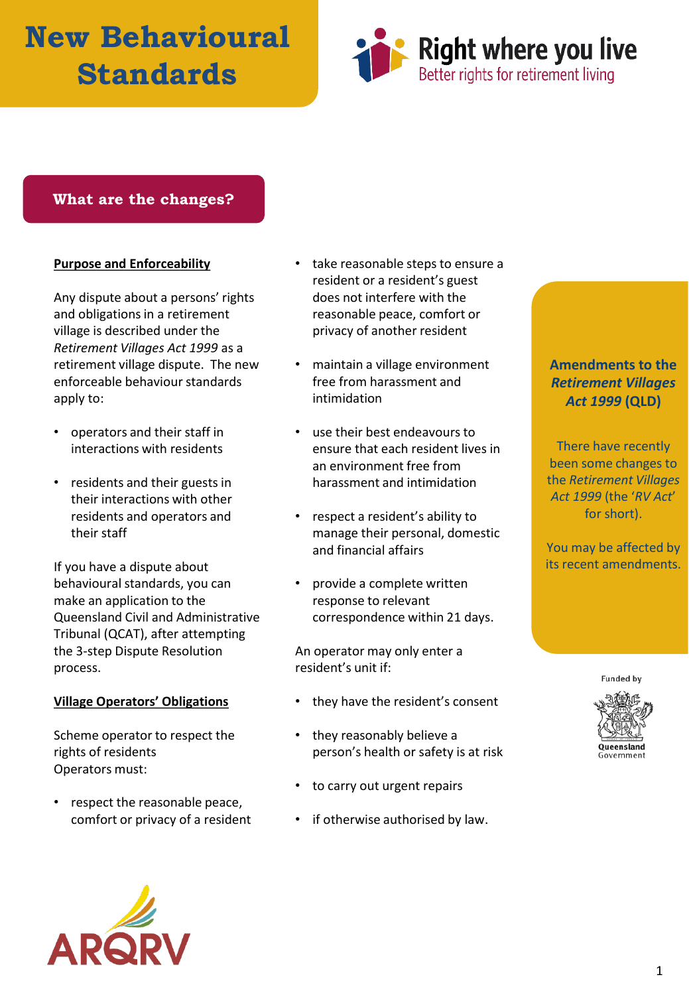# **New Behavioural Standards**



### **What are the changes?**

#### **Purpose and Enforceability**

Any dispute about a persons' rights and obligations in a retirement village is described under the *Retirement Villages Act 1999* as a retirement village dispute. The new enforceable behaviour standards apply to:

- operators and their staff in interactions with residents
- residents and their guests in their interactions with other residents and operators and their staff

If you have a dispute about behavioural standards, you can make an application to the Queensland Civil and Administrative Tribunal (QCAT), after attempting the 3-step Dispute Resolution process.

#### **Village Operators' Obligations**

Scheme operator to respect the rights of residents Operators must:

respect the reasonable peace, comfort or privacy of a resident



- take reasonable steps to ensure a resident or a resident's guest does not interfere with the reasonable peace, comfort or privacy of another resident
- maintain a village environment free from harassment and intimidation
- use their best endeavours to ensure that each resident lives in an environment free from harassment and intimidation
- respect a resident's ability to manage their personal, domestic and financial affairs
- provide a complete written response to relevant correspondence within 21 days.

An operator may only enter a resident's unit if:

- they have the resident's consent
- they reasonably believe a person's health or safety is at risk
- to carry out urgent repairs
- if otherwise authorised by law.

## **Amendments to the**  *Retirement Villages Act 1999* **(QLD)**

There have recently been some changes to the *Retirement Villages Act 1999* (the '*RV Act*' for short).

You may be affected by its recent amendments.

**Funded by**